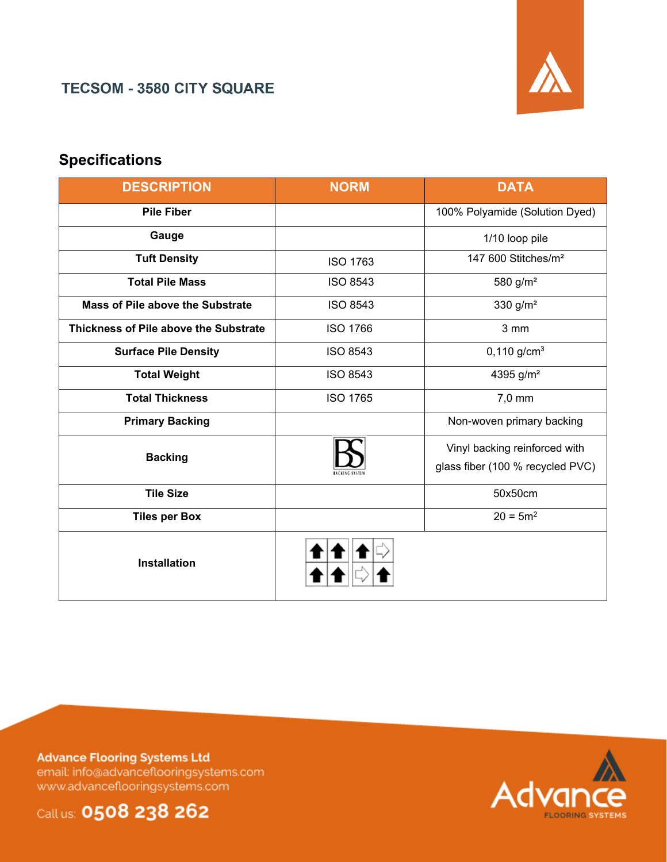

## **TECSOM - 3580 CITY SQUARE**

# **Specifications**

| <b>DESCRIPTION</b>                    | <b>NORM</b>     | <b>DATA</b>                      |  |  |
|---------------------------------------|-----------------|----------------------------------|--|--|
| <b>Pile Fiber</b>                     |                 | 100% Polyamide (Solution Dyed)   |  |  |
| Gauge                                 |                 | 1/10 loop pile                   |  |  |
| <b>Tuft Density</b>                   | <b>ISO 1763</b> | 147 600 Stitches/m <sup>2</sup>  |  |  |
| <b>Total Pile Mass</b>                | <b>ISO 8543</b> | 580 g/m <sup>2</sup>             |  |  |
| Mass of Pile above the Substrate      | <b>ISO 8543</b> | 330 g/m <sup>2</sup>             |  |  |
| Thickness of Pile above the Substrate | <b>ISO 1766</b> | 3 mm                             |  |  |
| <b>Surface Pile Density</b>           | <b>ISO 8543</b> | $0,110$ g/cm <sup>3</sup>        |  |  |
| <b>Total Weight</b>                   | <b>ISO 8543</b> | 4395 g/m <sup>2</sup>            |  |  |
| <b>Total Thickness</b>                | <b>ISO 1765</b> | 7,0 mm                           |  |  |
| <b>Primary Backing</b>                |                 | Non-woven primary backing        |  |  |
| <b>Backing</b>                        |                 | Vinyl backing reinforced with    |  |  |
|                                       |                 | glass fiber (100 % recycled PVC) |  |  |
| <b>Tile Size</b>                      |                 | 50x50cm                          |  |  |
| <b>Tiles per Box</b>                  |                 | $20 = 5m^2$                      |  |  |
| <b>Installation</b>                   |                 |                                  |  |  |

**Advance Flooring Systems Ltd** email: info@advanceflooringsystems.com www.advanceflooringsystems.com



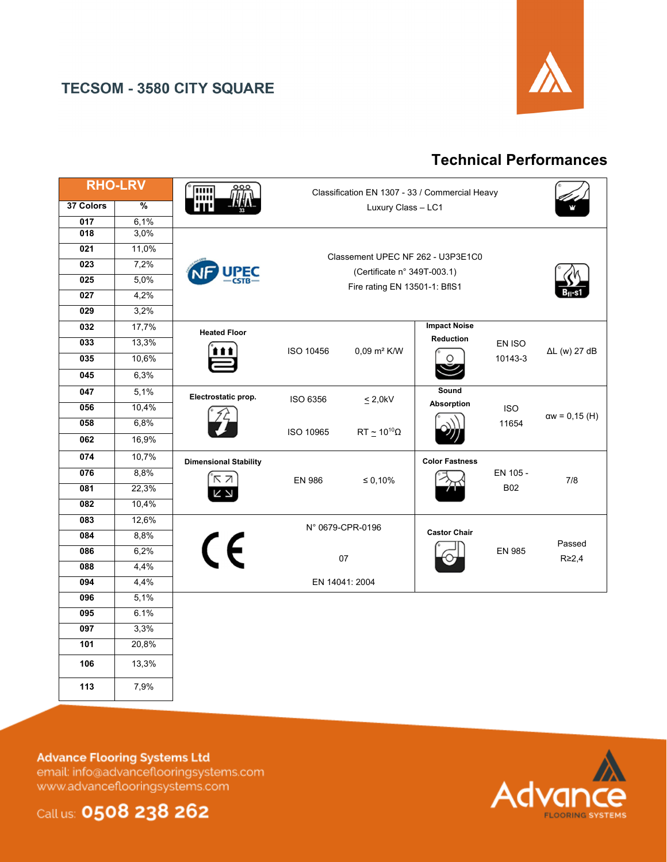

### **TECSOM - 3580 CITY SQUARE**

# **Technical Performances**

| <b>RHO-LRV</b>   |       | 而<br>ш                       | Classification EN 1307 - 33 / Commercial Heavy                                                    |                            |                                             |                        |                      |
|------------------|-------|------------------------------|---------------------------------------------------------------------------------------------------|----------------------------|---------------------------------------------|------------------------|----------------------|
| 37 Colors        | %     | Luxury Class - LC1           |                                                                                                   |                            |                                             |                        |                      |
| 017              | 6,1%  |                              |                                                                                                   |                            |                                             |                        |                      |
| 018              | 3,0%  |                              |                                                                                                   |                            |                                             |                        |                      |
| 021              | 11,0% |                              | Classement UPEC NF 262 - U3P3E1C0<br>(Certificate n° 349T-003.1)<br>Fire rating EN 13501-1: BflS1 |                            |                                             |                        |                      |
| 023              | 7,2%  | <u>PEC</u><br>အမ             |                                                                                                   |                            |                                             |                        |                      |
| 025              | 5,0%  |                              |                                                                                                   |                            |                                             |                        |                      |
| 027              | 4,2%  |                              |                                                                                                   |                            |                                             |                        |                      |
| 029              | 3,2%  |                              |                                                                                                   |                            |                                             |                        |                      |
| 032              | 17,7% | <b>Heated Floor</b>          |                                                                                                   |                            | <b>Impact Noise</b>                         |                        |                      |
| 033              | 13,3% |                              | ISO 10456                                                                                         |                            | <b>Reduction</b><br>0,09 m <sup>2</sup> K/W | EN ISO<br>10143-3      | $\Delta L$ (w) 27 dB |
| 035              | 10,6% |                              |                                                                                                   |                            |                                             |                        |                      |
| 045              | 6,3%  |                              |                                                                                                   |                            |                                             |                        |                      |
| 047              | 5,1%  | Electrostatic prop.          | ISO 6356                                                                                          | $\leq$ 2,0kV               | Sound                                       |                        |                      |
| 056              | 10,4% |                              |                                                                                                   |                            | Absorption                                  | <b>ISO</b>             | $aw = 0,15(H)$       |
| 058              | 6,8%  |                              | ISO 10965                                                                                         | $RT \simeq 10^{10} \Omega$ | 11654                                       |                        |                      |
| 062              | 16,9% |                              |                                                                                                   |                            |                                             |                        |                      |
| 074              | 10,7% | <b>Dimensional Stability</b> |                                                                                                   |                            | <b>Color Fastness</b>                       | EN 105 -<br><b>B02</b> | 7/8                  |
| 076              | 8,8%  | ΚZ<br>K<br>K                 | <b>EN 986</b>                                                                                     | $\leq 0,10\%$              |                                             |                        |                      |
| 081              | 22,3% |                              |                                                                                                   |                            |                                             |                        |                      |
| $\overline{082}$ | 10,4% |                              |                                                                                                   |                            |                                             |                        |                      |
| 083              | 12,6% |                              |                                                                                                   | N° 0679-CPR-0196           |                                             |                        |                      |
| 084              | 8,8%  |                              |                                                                                                   |                            | <b>Castor Chair</b>                         |                        | Passed               |
| 086              | 6,2%  | $\epsilon$<br><b>EN 985</b>  |                                                                                                   |                            |                                             | $R \geq 2,4$           |                      |
| 088              | 4,4%  | 07                           |                                                                                                   |                            |                                             |                        |                      |
| 094              | 4,4%  | EN 14041: 2004               |                                                                                                   |                            |                                             |                        |                      |
| 096              | 5,1%  |                              |                                                                                                   |                            |                                             |                        |                      |
| 095              | 6.1%  |                              |                                                                                                   |                            |                                             |                        |                      |
| 097              | 3,3%  |                              |                                                                                                   |                            |                                             |                        |                      |
| 101              | 20,8% |                              |                                                                                                   |                            |                                             |                        |                      |
| 106              | 13,3% |                              |                                                                                                   |                            |                                             |                        |                      |
| 113              | 7,9%  |                              |                                                                                                   |                            |                                             |                        |                      |

#### **Advance Flooring Systems Ltd**

email: info@advanceflooringsystems.com www.advanceflooringsystems.com